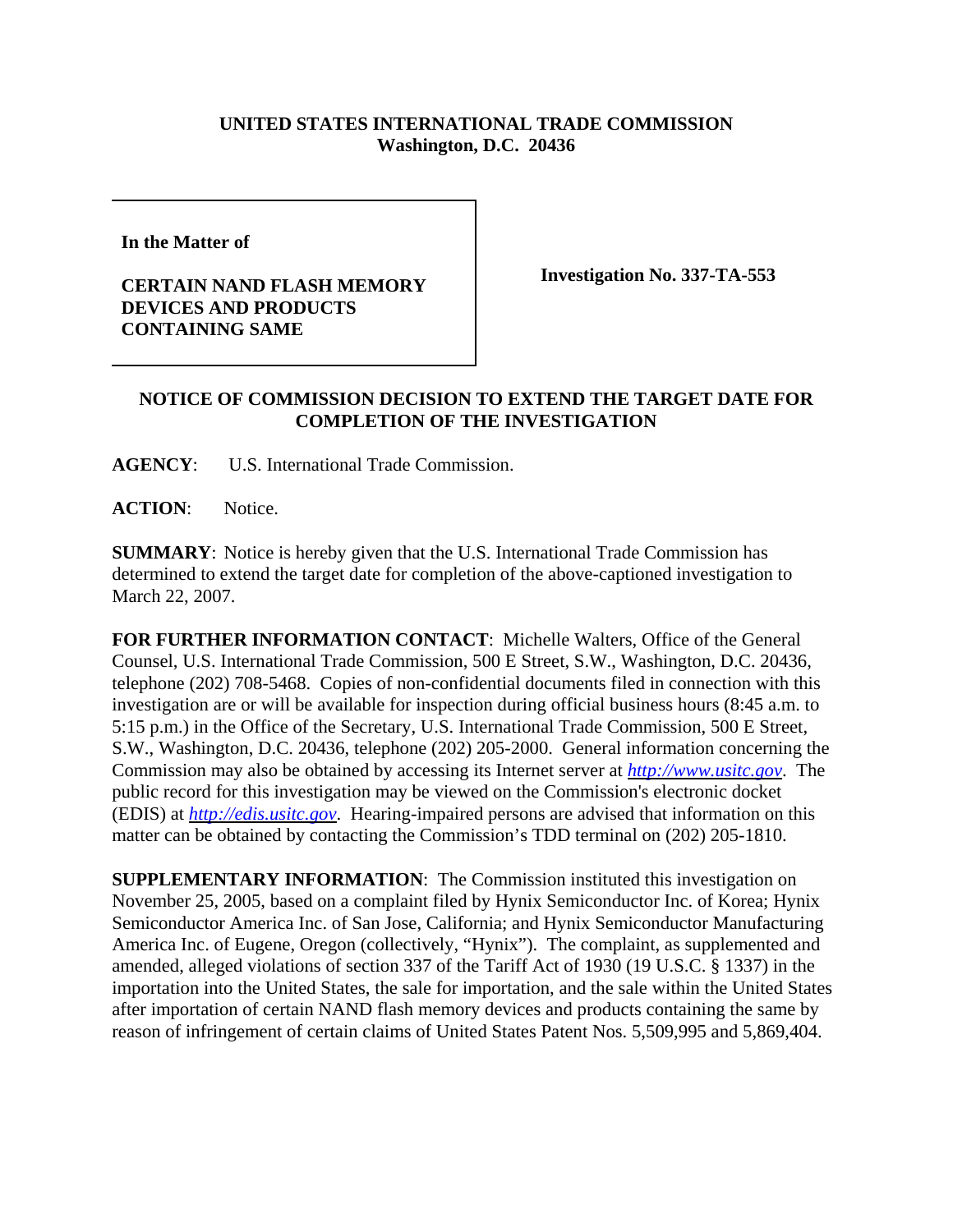## **UNITED STATES INTERNATIONAL TRADE COMMISSION Washington, D.C. 20436**

**In the Matter of** 

## **CERTAIN NAND FLASH MEMORY DEVICES AND PRODUCTS CONTAINING SAME**

**Investigation No. 337-TA-553**

## **NOTICE OF COMMISSION DECISION TO EXTEND THE TARGET DATE FOR COMPLETION OF THE INVESTIGATION**

**AGENCY**: U.S. International Trade Commission.

**ACTION**: Notice.

**SUMMARY**: Notice is hereby given that the U.S. International Trade Commission has determined to extend the target date for completion of the above-captioned investigation to March 22, 2007.

**FOR FURTHER INFORMATION CONTACT**: Michelle Walters, Office of the General Counsel, U.S. International Trade Commission, 500 E Street, S.W., Washington, D.C. 20436, telephone (202) 708-5468. Copies of non-confidential documents filed in connection with this investigation are or will be available for inspection during official business hours (8:45 a.m. to 5:15 p.m.) in the Office of the Secretary, U.S. International Trade Commission, 500 E Street, S.W., Washington, D.C. 20436, telephone (202) 205-2000. General information concerning the Commission may also be obtained by accessing its Internet server at *http://www.usitc.gov*. The public record for this investigation may be viewed on the Commission's electronic docket (EDIS) at *http://edis.usitc.gov*. Hearing-impaired persons are advised that information on this matter can be obtained by contacting the Commission's TDD terminal on (202) 205-1810.

**SUPPLEMENTARY INFORMATION**: The Commission instituted this investigation on November 25, 2005, based on a complaint filed by Hynix Semiconductor Inc. of Korea; Hynix Semiconductor America Inc. of San Jose, California; and Hynix Semiconductor Manufacturing America Inc. of Eugene, Oregon (collectively, "Hynix"). The complaint, as supplemented and amended, alleged violations of section 337 of the Tariff Act of 1930 (19 U.S.C. § 1337) in the importation into the United States, the sale for importation, and the sale within the United States after importation of certain NAND flash memory devices and products containing the same by reason of infringement of certain claims of United States Patent Nos. 5,509,995 and 5,869,404.